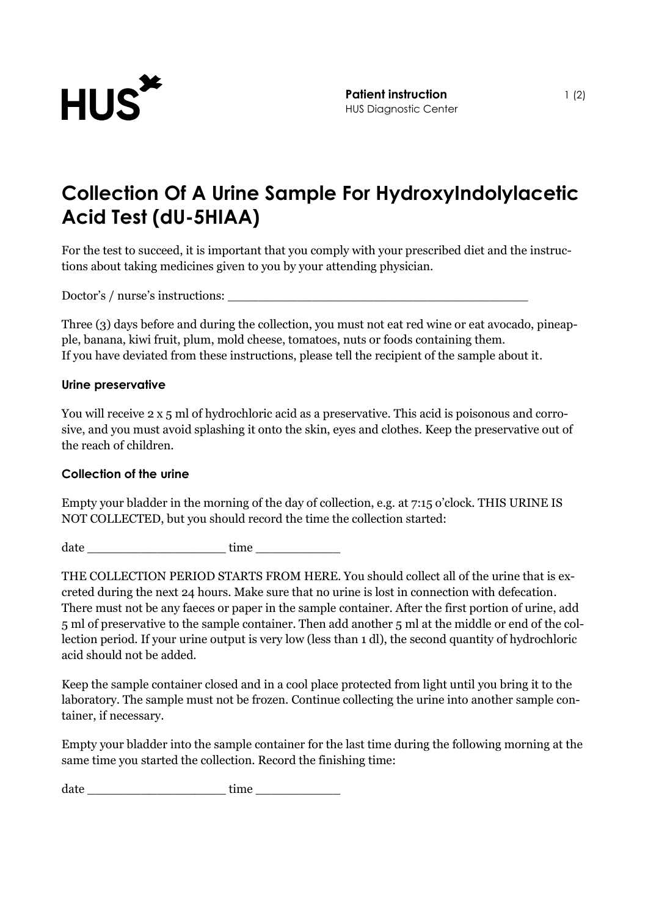

## **Collection Of A Urine Sample For HydroxyIndolylacetic Acid Test (dU-5HIAA)**

For the test to succeed, it is important that you comply with your prescribed diet and the instructions about taking medicines given to you by your attending physician.

Doctor's / nurse's instructions:

Three (3) days before and during the collection, you must not eat red wine or eat avocado, pineapple, banana, kiwi fruit, plum, mold cheese, tomatoes, nuts or foods containing them. If you have deviated from these instructions, please tell the recipient of the sample about it.

## **Urine preservative**

You will receive 2 x 5 ml of hydrochloric acid as a preservative. This acid is poisonous and corrosive, and you must avoid splashing it onto the skin, eyes and clothes. Keep the preservative out of the reach of children.

## **Collection of the urine**

Empty your bladder in the morning of the day of collection, e.g. at 7:15 o'clock. THIS URINE IS NOT COLLECTED, but you should record the time the collection started:

date \_\_\_\_\_\_\_\_\_\_\_\_\_\_\_\_\_\_ time \_\_\_\_\_\_\_\_\_\_\_

THE COLLECTION PERIOD STARTS FROM HERE. You should collect all of the urine that is excreted during the next 24 hours. Make sure that no urine is lost in connection with defecation. There must not be any faeces or paper in the sample container. After the first portion of urine, add 5 ml of preservative to the sample container. Then add another 5 ml at the middle or end of the collection period. If your urine output is very low (less than 1 dl), the second quantity of hydrochloric acid should not be added.

Keep the sample container closed and in a cool place protected from light until you bring it to the laboratory. The sample must not be frozen. Continue collecting the urine into another sample container, if necessary.

Empty your bladder into the sample container for the last time during the following morning at the same time you started the collection. Record the finishing time:

date \_\_\_\_\_\_\_\_\_\_\_\_\_\_\_\_\_\_ time \_\_\_\_\_\_\_\_\_\_\_